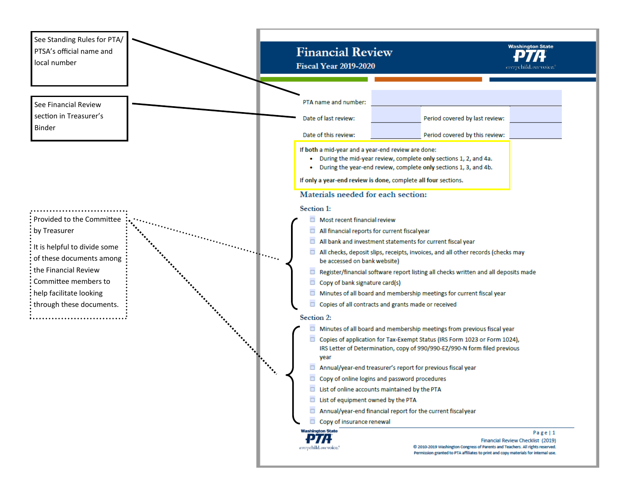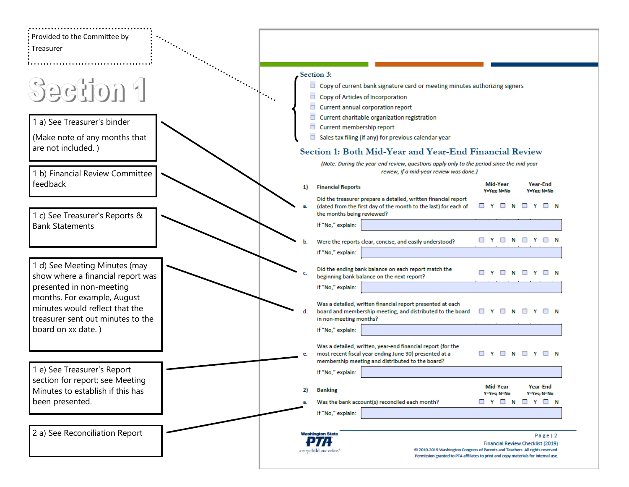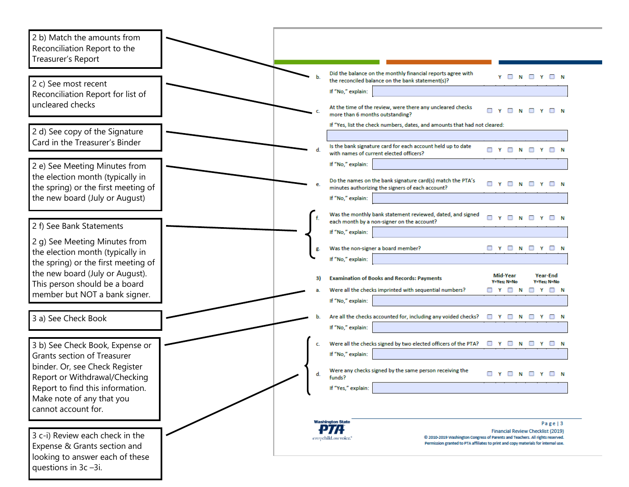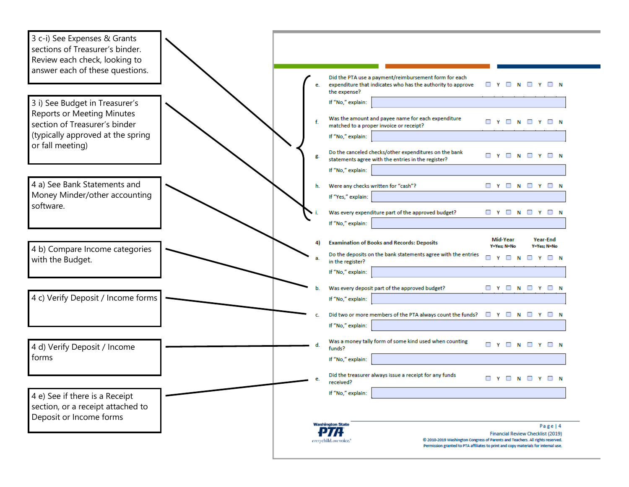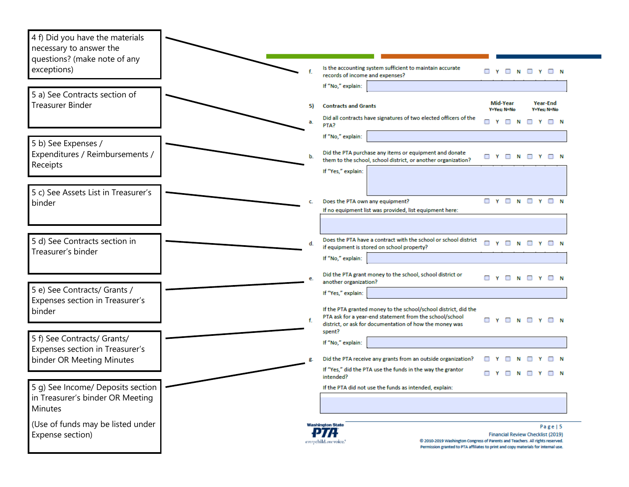| 4 f) Did you have the materials<br>necessary to answer the<br>questions? (make note of any |                       |                                                                                                                            |   |                                     |   |                            |          |                   |
|--------------------------------------------------------------------------------------------|-----------------------|----------------------------------------------------------------------------------------------------------------------------|---|-------------------------------------|---|----------------------------|----------|-------------------|
| exceptions)                                                                                |                       | Is the accounting system sufficient to maintain accurate<br>records of income and expenses?                                |   | <b>DYDNDYDN</b>                     |   |                            |          |                   |
| 5 a) See Contracts section of                                                              |                       | If "No," explain:                                                                                                          |   |                                     |   |                            |          |                   |
| <b>Treasurer Binder</b>                                                                    | 5)                    | <b>Contracts and Grants</b>                                                                                                |   | Mid-Year<br>Y=Yes; N=No             |   |                            | Year-End | Y=Yes; N=No       |
|                                                                                            |                       | Did all contracts have signatures of two elected officers of the<br>PTA?                                                   | □ | Y O                                 | N |                            |          | $\Box$ Y $\Box$ N |
| 5 b) See Expenses /                                                                        |                       | If "No," explain:                                                                                                          |   |                                     |   |                            |          |                   |
| Expenditures / Reimbursements /                                                            |                       | Did the PTA purchase any items or equipment and donate<br>them to the school, school district, or another organization?    |   | $\Box$ Y $\Box$ N $\Box$ Y $\Box$ N |   |                            |          |                   |
| Receipts                                                                                   |                       | If "Yes," explain:                                                                                                         |   |                                     |   |                            |          |                   |
| 5 c) See Assets List in Treasurer's                                                        |                       |                                                                                                                            |   |                                     |   |                            |          |                   |
| binder                                                                                     |                       | Does the PTA own any equipment?<br>If no equipment list was provided, list equipment here:                                 |   | <b>DYDNDYDN</b>                     |   |                            |          |                   |
|                                                                                            |                       |                                                                                                                            |   |                                     |   |                            |          |                   |
| 5 d) See Contracts section in                                                              | d.                    | Does the PTA have a contract with the school or school district                                                            |   | Y                                   |   | $\Box$ N $\Box$ Y $\Box$ N |          |                   |
| Treasurer's binder                                                                         |                       | if equipment is stored on school property?<br>If "No," explain:                                                            |   |                                     |   |                            |          |                   |
|                                                                                            |                       | Did the PTA grant money to the school, school district or                                                                  |   | <b>DYDNDYDN</b>                     |   |                            |          |                   |
| 5 e) See Contracts/ Grants /                                                               |                       | another organization?                                                                                                      |   |                                     |   |                            |          |                   |
| Expenses section in Treasurer's                                                            |                       | If "Yes," explain:                                                                                                         |   |                                     |   |                            |          |                   |
| binder                                                                                     |                       | If the PTA granted money to the school/school district, did the<br>PTA ask for a year-end statement from the school/school |   | <b>DYDNDYDN</b>                     |   |                            |          |                   |
|                                                                                            |                       | district, or ask for documentation of how the money was<br>spent?                                                          |   |                                     |   |                            |          |                   |
| 5 f) See Contracts/ Grants/<br>Expenses section in Treasurer's                             |                       | If "No," explain:                                                                                                          |   |                                     |   |                            |          |                   |
| binder OR Meeting Minutes                                                                  |                       | Did the PTA receive any grants from an outside organization?                                                               |   |                                     |   |                            |          |                   |
|                                                                                            |                       | If "Yes," did the PTA use the funds in the way the grantor<br>intended?                                                    |   | $\Box$ Y $\Box$ N                   |   |                            |          |                   |
| 5 g) See Income/ Deposits section                                                          |                       | If the PTA did not use the funds as intended, explain:                                                                     |   |                                     |   |                            |          |                   |
| in Treasurer's binder OR Meeting<br>Minutes                                                |                       |                                                                                                                            |   |                                     |   |                            |          |                   |
| (Use of funds may be listed under                                                          |                       | <b>Washington State</b>                                                                                                    |   |                                     |   |                            |          | Page   5          |
| Expense section)                                                                           | everychild.onevoice." | PTA.<br>@ 2010-2019 Washington Congress of Parents and Teachers. All rights reserved.                                      |   | Financial Review Checklist (2019)   |   |                            |          |                   |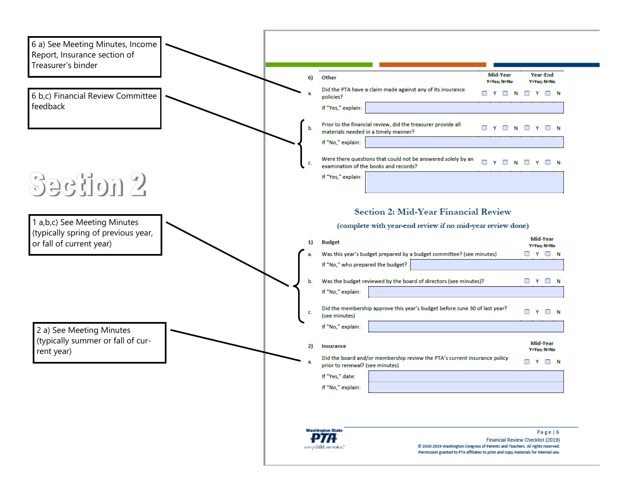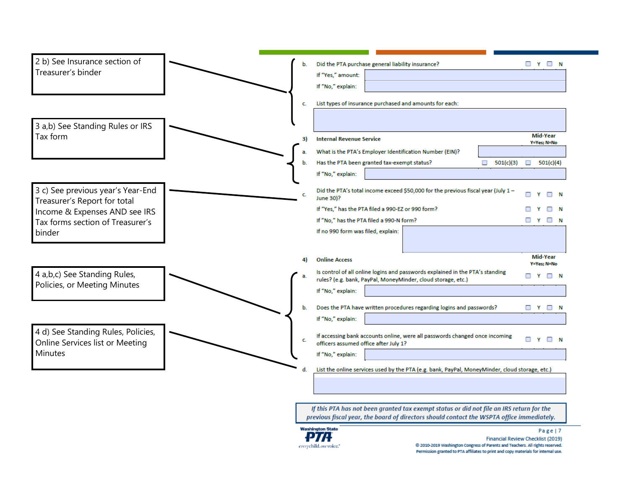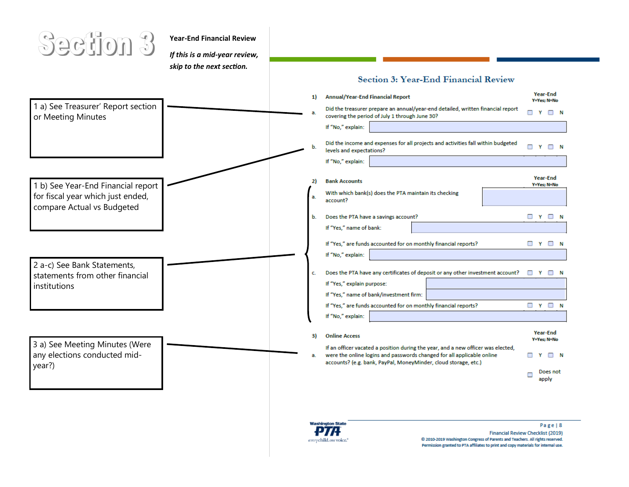

**Year-End Financial Review**

*If this is a mid-year review, skip to the next section.* 

#### Section 3: Year-End Financial Review

| 1 a) See Treasurer' Report section                              | 1) | <b>Annual/Year-End Financial Report</b><br>Did the treasurer prepare an annual/year-end detailed, written financial report<br>п           | Year-End<br>Y=Yes: N=No<br>Y<br>$\Box$ N |
|-----------------------------------------------------------------|----|-------------------------------------------------------------------------------------------------------------------------------------------|------------------------------------------|
| or Meeting Minutes                                              |    | covering the period of July 1 through June 30?<br>If "No," explain:                                                                       |                                          |
|                                                                 |    | Did the income and expenses for all projects and activities fall within budgeted<br>п<br>levels and expectations?                         | Y<br>$\Box$ N                            |
| 1 b) See Year-End Financial report                              |    | If "No," explain:<br><b>Bank Accounts</b>                                                                                                 | Year-End<br>Y=Yes; N=No                  |
| for fiscal year which just ended,<br>compare Actual vs Budgeted | a. | With which bank(s) does the PTA maintain its checking<br>account?                                                                         |                                          |
|                                                                 | b. | Does the PTA have a savings account?                                                                                                      | $\Box$ Y $\Box$ N                        |
|                                                                 |    | If "Yes," name of bank:                                                                                                                   |                                          |
|                                                                 |    | If "Yes," are funds accounted for on monthly financial reports?                                                                           | □<br>Y                                   |
|                                                                 |    | If "No," explain:                                                                                                                         |                                          |
| 2 a-c) See Bank Statements,<br>statements from other financial  | c. | Does the PTA have any certificates of deposit or any other investment account?                                                            |                                          |
| institutions                                                    |    | If "Yes," explain purpose:                                                                                                                |                                          |
|                                                                 |    | If "Yes," name of bank/investment firm:                                                                                                   |                                          |
|                                                                 |    | If "Yes," are funds accounted for on monthly financial reports?<br>If "No," explain:                                                      | $\Box$ Y $\Box$ N                        |
|                                                                 |    |                                                                                                                                           | Year-End                                 |
| 3 a) See Meeting Minutes (Were                                  | 3) | <b>Online Access</b><br>If an officer vacated a position during the year, and a new officer was elected,                                  | Y=Yes; N=No                              |
| any elections conducted mid-<br>year?)                          | a. | were the online logins and passwords changed for all applicable online<br>accounts? (e.g. bank, PayPal, MoneyMinder, cloud storage, etc.) | п                                        |
|                                                                 |    |                                                                                                                                           | Does not<br>apply                        |

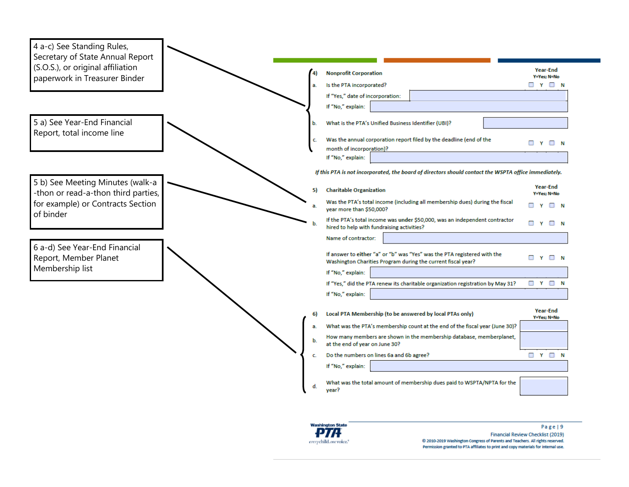

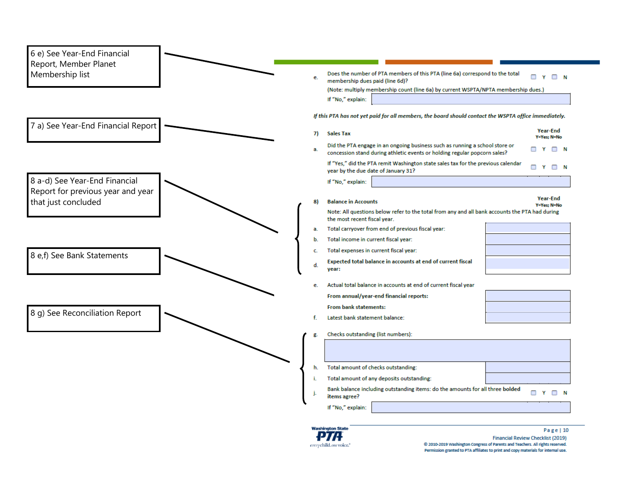| 6 e) See Year-End Financial<br>Report, Member Planet<br>Membership list |    | Does the number of PTA members of this PTA (line 6a) correspond to the total                                                                                  | п<br>$\mathbf{v}$<br>∩ N         |
|-------------------------------------------------------------------------|----|---------------------------------------------------------------------------------------------------------------------------------------------------------------|----------------------------------|
|                                                                         | e. | membership dues paid (line 6d)?                                                                                                                               |                                  |
|                                                                         |    | (Note: multiply membership count (line 6a) by current WSPTA/NPTA membership dues.)                                                                            |                                  |
|                                                                         |    | If "No," explain:                                                                                                                                             |                                  |
|                                                                         |    | If this PTA has not yet paid for all members, the board should contact the WSPTA office immediately.                                                          |                                  |
| 7 a) See Year-End Financial Report                                      | 7) | <b>Sales Tax</b>                                                                                                                                              | Year-End                         |
|                                                                         | a. | Did the PTA engage in an ongoing business such as running a school store or                                                                                   | Y=Yes; N=No<br>$\Box$ Y $\Box$ N |
|                                                                         |    | concession stand during athletic events or holding regular popcorn sales?<br>If "Yes," did the PTA remit Washington state sales tax for the previous calendar |                                  |
|                                                                         |    | year by the due date of January 31?                                                                                                                           | $\Box$ Y $\Box$ N                |
| 8 a-d) See Year-End Financial<br>Report for previous year and year      |    | If "No," explain:                                                                                                                                             |                                  |
| that just concluded                                                     |    | <b>Balance in Accounts</b>                                                                                                                                    | Year-End                         |
|                                                                         |    | Note: All questions below refer to the total from any and all bank accounts the PTA had during                                                                | Y=Yes: N=No                      |
|                                                                         |    | the most recent fiscal year.                                                                                                                                  |                                  |
|                                                                         | a. | Total carryover from end of previous fiscal year:                                                                                                             |                                  |
|                                                                         | b. | Total income in current fiscal year:                                                                                                                          |                                  |
| 8 e,f) See Bank Statements                                              | c. | Total expenses in current fiscal year:                                                                                                                        |                                  |
|                                                                         | d. | Expected total balance in accounts at end of current fiscal<br>year:                                                                                          |                                  |
|                                                                         | е. | Actual total balance in accounts at end of current fiscal year                                                                                                |                                  |
|                                                                         |    | From annual/year-end financial reports:                                                                                                                       |                                  |
|                                                                         |    | From bank statements:                                                                                                                                         |                                  |
| 8 g) See Reconciliation Report                                          |    | Latest bank statement balance:                                                                                                                                |                                  |
|                                                                         |    | Checks outstanding (list numbers):                                                                                                                            |                                  |
|                                                                         |    |                                                                                                                                                               |                                  |
|                                                                         | h. | Total amount of checks outstanding:                                                                                                                           |                                  |
|                                                                         | ï. | Total amount of any deposits outstanding:                                                                                                                     |                                  |
|                                                                         |    | Bank balance including outstanding items: do the amounts for all three bolded<br>items agree?                                                                 | $\Box$ Y $\Box$ N                |
|                                                                         |    | If "No," explain:                                                                                                                                             |                                  |



#### Page | 10 Financial Review Checklist (2019)<br>© 2010-2019 Washington Congress of Parents and Teachers. All rights reserved. Permission granted to PTA affiliates to print and copy materials for internal use.